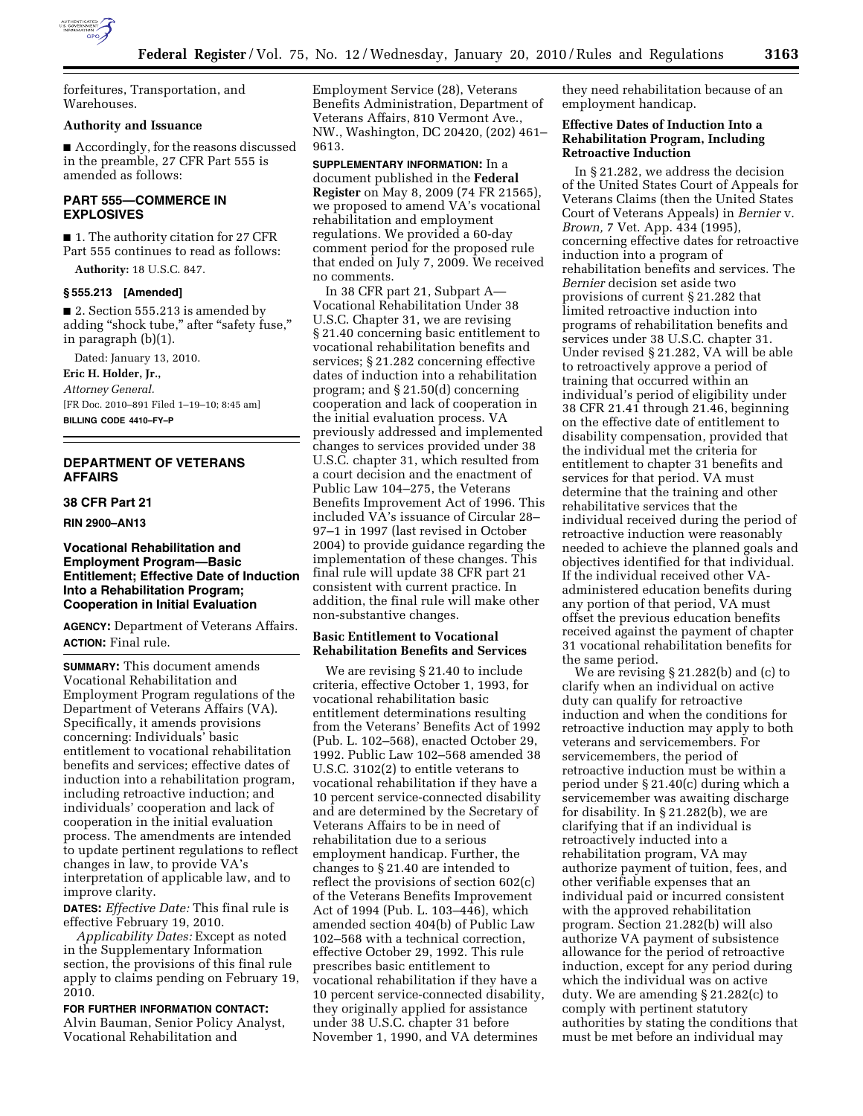

forfeitures, Transportation, and Warehouses.

## **Authority and Issuance**

■ Accordingly, for the reasons discussed in the preamble, 27 CFR Part 555 is amended as follows:

## **PART 555—COMMERCE IN EXPLOSIVES**

■ 1. The authority citation for 27 CFR Part 555 continues to read as follows:

**Authority:** 18 U.S.C. 847.

#### **§ 555.213 [Amended]**

■ 2. Section 555.213 is amended by adding ''shock tube,'' after ''safety fuse,'' in paragraph (b)(1).

Dated: January 13, 2010.

**Eric H. Holder, Jr.,** 

*Attorney General.*  [FR Doc. 2010–891 Filed 1–19–10; 8:45 am] **BILLING CODE 4410–FY–P** 

# **DEPARTMENT OF VETERANS AFFAIRS**

## **38 CFR Part 21**

**RIN 2900–AN13** 

## **Vocational Rehabilitation and Employment Program—Basic Entitlement; Effective Date of Induction Into a Rehabilitation Program; Cooperation in Initial Evaluation**

**AGENCY:** Department of Veterans Affairs. **ACTION:** Final rule.

**SUMMARY:** This document amends Vocational Rehabilitation and Employment Program regulations of the Department of Veterans Affairs (VA). Specifically, it amends provisions concerning: Individuals' basic entitlement to vocational rehabilitation benefits and services; effective dates of induction into a rehabilitation program, including retroactive induction; and individuals' cooperation and lack of cooperation in the initial evaluation process. The amendments are intended to update pertinent regulations to reflect changes in law, to provide VA's interpretation of applicable law, and to improve clarity.

**DATES:** *Effective Date:* This final rule is effective February 19, 2010.

*Applicability Dates:* Except as noted in the Supplementary Information section, the provisions of this final rule apply to claims pending on February 19, 2010.

**FOR FURTHER INFORMATION CONTACT:**  Alvin Bauman, Senior Policy Analyst, Vocational Rehabilitation and

Employment Service (28), Veterans Benefits Administration, Department of Veterans Affairs, 810 Vermont Ave., NW., Washington, DC 20420, (202) 461– 9613.

**SUPPLEMENTARY INFORMATION:** In a document published in the **Federal Register** on May 8, 2009 (74 FR 21565), we proposed to amend VA's vocational rehabilitation and employment regulations. We provided a 60-day comment period for the proposed rule that ended on July 7, 2009. We received no comments.

In 38 CFR part 21, Subpart A— Vocational Rehabilitation Under 38 U.S.C. Chapter 31, we are revising § 21.40 concerning basic entitlement to vocational rehabilitation benefits and services; § 21.282 concerning effective dates of induction into a rehabilitation program; and § 21.50(d) concerning cooperation and lack of cooperation in the initial evaluation process. VA previously addressed and implemented changes to services provided under 38 U.S.C. chapter 31, which resulted from a court decision and the enactment of Public Law 104–275, the Veterans Benefits Improvement Act of 1996. This included VA's issuance of Circular 28– 97–1 in 1997 (last revised in October 2004) to provide guidance regarding the implementation of these changes. This final rule will update 38 CFR part 21 consistent with current practice. In addition, the final rule will make other non-substantive changes.

## **Basic Entitlement to Vocational Rehabilitation Benefits and Services**

We are revising § 21.40 to include criteria, effective October 1, 1993, for vocational rehabilitation basic entitlement determinations resulting from the Veterans' Benefits Act of 1992 (Pub. L. 102–568), enacted October 29, 1992. Public Law 102–568 amended 38 U.S.C. 3102(2) to entitle veterans to vocational rehabilitation if they have a 10 percent service-connected disability and are determined by the Secretary of Veterans Affairs to be in need of rehabilitation due to a serious employment handicap. Further, the changes to § 21.40 are intended to reflect the provisions of section 602(c) of the Veterans Benefits Improvement Act of 1994 (Pub. L. 103–446), which amended section 404(b) of Public Law 102–568 with a technical correction, effective October 29, 1992. This rule prescribes basic entitlement to vocational rehabilitation if they have a 10 percent service-connected disability, they originally applied for assistance under 38 U.S.C. chapter 31 before November 1, 1990, and VA determines

they need rehabilitation because of an employment handicap.

## **Effective Dates of Induction Into a Rehabilitation Program, Including Retroactive Induction**

In § 21.282, we address the decision of the United States Court of Appeals for Veterans Claims (then the United States Court of Veterans Appeals) in *Bernier* v. *Brown,* 7 Vet. App. 434 (1995), concerning effective dates for retroactive induction into a program of rehabilitation benefits and services. The *Bernier* decision set aside two provisions of current § 21.282 that limited retroactive induction into programs of rehabilitation benefits and services under 38 U.S.C. chapter 31. Under revised § 21.282, VA will be able to retroactively approve a period of training that occurred within an individual's period of eligibility under 38 CFR 21.41 through 21.46, beginning on the effective date of entitlement to disability compensation, provided that the individual met the criteria for entitlement to chapter 31 benefits and services for that period. VA must determine that the training and other rehabilitative services that the individual received during the period of retroactive induction were reasonably needed to achieve the planned goals and objectives identified for that individual. If the individual received other VAadministered education benefits during any portion of that period, VA must offset the previous education benefits received against the payment of chapter 31 vocational rehabilitation benefits for the same period.

We are revising § 21.282(b) and (c) to clarify when an individual on active duty can qualify for retroactive induction and when the conditions for retroactive induction may apply to both veterans and servicemembers. For servicemembers, the period of retroactive induction must be within a period under § 21.40(c) during which a servicemember was awaiting discharge for disability. In § 21.282(b), we are clarifying that if an individual is retroactively inducted into a rehabilitation program, VA may authorize payment of tuition, fees, and other verifiable expenses that an individual paid or incurred consistent with the approved rehabilitation program. Section 21.282(b) will also authorize VA payment of subsistence allowance for the period of retroactive induction, except for any period during which the individual was on active duty. We are amending § 21.282(c) to comply with pertinent statutory authorities by stating the conditions that must be met before an individual may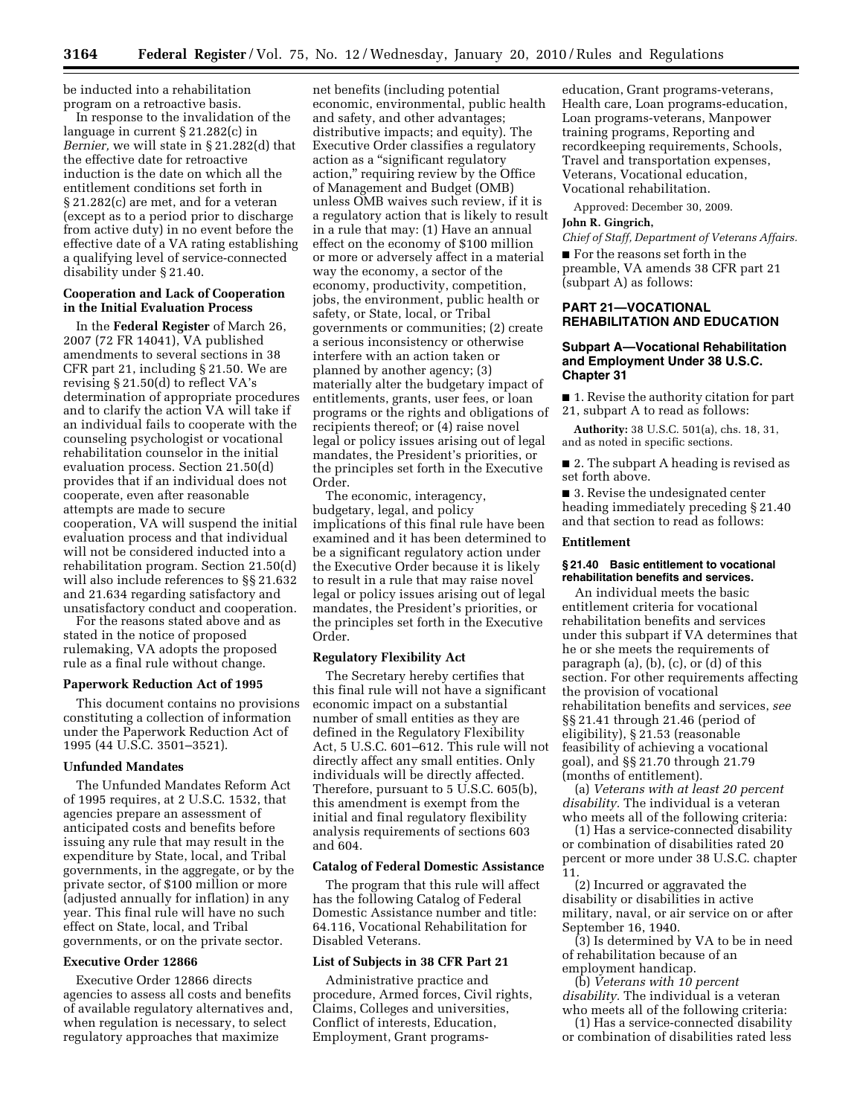be inducted into a rehabilitation program on a retroactive basis.

In response to the invalidation of the language in current § 21.282(c) in *Bernier,* we will state in § 21.282(d) that the effective date for retroactive induction is the date on which all the entitlement conditions set forth in § 21.282(c) are met, and for a veteran (except as to a period prior to discharge from active duty) in no event before the effective date of a VA rating establishing a qualifying level of service-connected disability under § 21.40.

## **Cooperation and Lack of Cooperation in the Initial Evaluation Process**

In the **Federal Register** of March 26, 2007 (72 FR 14041), VA published amendments to several sections in 38 CFR part 21, including § 21.50. We are revising § 21.50(d) to reflect VA's determination of appropriate procedures and to clarify the action VA will take if an individual fails to cooperate with the counseling psychologist or vocational rehabilitation counselor in the initial evaluation process. Section 21.50(d) provides that if an individual does not cooperate, even after reasonable attempts are made to secure cooperation, VA will suspend the initial evaluation process and that individual will not be considered inducted into a rehabilitation program. Section 21.50(d) will also include references to §§ 21.632 and 21.634 regarding satisfactory and unsatisfactory conduct and cooperation.

For the reasons stated above and as stated in the notice of proposed rulemaking, VA adopts the proposed rule as a final rule without change.

# **Paperwork Reduction Act of 1995**

This document contains no provisions constituting a collection of information under the Paperwork Reduction Act of 1995 (44 U.S.C. 3501–3521).

### **Unfunded Mandates**

The Unfunded Mandates Reform Act of 1995 requires, at 2 U.S.C. 1532, that agencies prepare an assessment of anticipated costs and benefits before issuing any rule that may result in the expenditure by State, local, and Tribal governments, in the aggregate, or by the private sector, of \$100 million or more (adjusted annually for inflation) in any year. This final rule will have no such effect on State, local, and Tribal governments, or on the private sector.

#### **Executive Order 12866**

Executive Order 12866 directs agencies to assess all costs and benefits of available regulatory alternatives and, when regulation is necessary, to select regulatory approaches that maximize

net benefits (including potential economic, environmental, public health and safety, and other advantages; distributive impacts; and equity). The Executive Order classifies a regulatory action as a ''significant regulatory action,'' requiring review by the Office of Management and Budget (OMB) unless OMB waives such review, if it is a regulatory action that is likely to result in a rule that may: (1) Have an annual effect on the economy of \$100 million or more or adversely affect in a material way the economy, a sector of the economy, productivity, competition, jobs, the environment, public health or safety, or State, local, or Tribal governments or communities; (2) create a serious inconsistency or otherwise interfere with an action taken or planned by another agency; (3) materially alter the budgetary impact of entitlements, grants, user fees, or loan programs or the rights and obligations of recipients thereof; or (4) raise novel legal or policy issues arising out of legal mandates, the President's priorities, or the principles set forth in the Executive Order.

The economic, interagency, budgetary, legal, and policy implications of this final rule have been examined and it has been determined to be a significant regulatory action under the Executive Order because it is likely to result in a rule that may raise novel legal or policy issues arising out of legal mandates, the President's priorities, or the principles set forth in the Executive Order.

#### **Regulatory Flexibility Act**

The Secretary hereby certifies that this final rule will not have a significant economic impact on a substantial number of small entities as they are defined in the Regulatory Flexibility Act, 5 U.S.C. 601–612. This rule will not directly affect any small entities. Only individuals will be directly affected. Therefore, pursuant to 5 U.S.C. 605(b), this amendment is exempt from the initial and final regulatory flexibility analysis requirements of sections 603 and 604.

#### **Catalog of Federal Domestic Assistance**

The program that this rule will affect has the following Catalog of Federal Domestic Assistance number and title: 64.116, Vocational Rehabilitation for Disabled Veterans.

#### **List of Subjects in 38 CFR Part 21**

Administrative practice and procedure, Armed forces, Civil rights, Claims, Colleges and universities, Conflict of interests, Education, Employment, Grant programs-

education, Grant programs-veterans, Health care, Loan programs-education, Loan programs-veterans, Manpower training programs, Reporting and recordkeeping requirements, Schools, Travel and transportation expenses, Veterans, Vocational education, Vocational rehabilitation.

Approved: December 30, 2009. **John R. Gingrich,** 

*Chief of Staff, Department of Veterans Affairs.* 

■ For the reasons set forth in the preamble, VA amends 38 CFR part 21 (subpart A) as follows:

#### **PART 21—VOCATIONAL REHABILITATION AND EDUCATION**

### **Subpart A—Vocational Rehabilitation and Employment Under 38 U.S.C. Chapter 31**

■ 1. Revise the authority citation for part 21, subpart A to read as follows:

**Authority:** 38 U.S.C. 501(a), chs. 18, 31, and as noted in specific sections.

■ 2. The subpart A heading is revised as set forth above.

■ 3. Revise the undesignated center heading immediately preceding § 21.40 and that section to read as follows:

#### **Entitlement**

#### **§ 21.40 Basic entitlement to vocational rehabilitation benefits and services.**

An individual meets the basic entitlement criteria for vocational rehabilitation benefits and services under this subpart if VA determines that he or she meets the requirements of paragraph (a), (b), (c), or (d) of this section. For other requirements affecting the provision of vocational rehabilitation benefits and services, *see*  §§ 21.41 through 21.46 (period of eligibility), § 21.53 (reasonable feasibility of achieving a vocational goal), and §§ 21.70 through 21.79 (months of entitlement).

(a) *Veterans with at least 20 percent disability.* The individual is a veteran who meets all of the following criteria:

(1) Has a service-connected disability or combination of disabilities rated 20 percent or more under 38 U.S.C. chapter 11.

(2) Incurred or aggravated the disability or disabilities in active military, naval, or air service on or after September 16, 1940.

(3) Is determined by VA to be in need of rehabilitation because of an employment handicap.

(b) *Veterans with 10 percent disability.* The individual is a veteran who meets all of the following criteria:

(1) Has a service-connected disability or combination of disabilities rated less